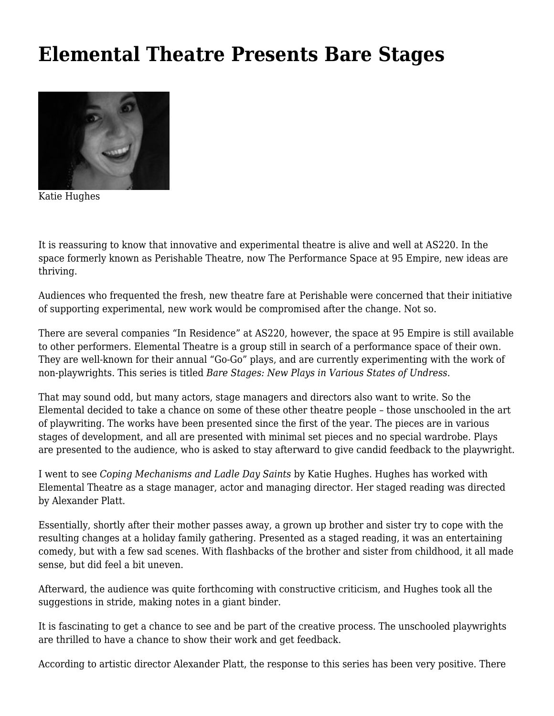## **[Elemental Theatre Presents Bare Stages](https://motifri.com/bare-elemental/)**



Katie Hughes

It is reassuring to know that innovative and experimental theatre is alive and well at AS220. In the space formerly known as Perishable Theatre, now The Performance Space at 95 Empire, new ideas are thriving.

Audiences who frequented the fresh, new theatre fare at Perishable were concerned that their initiative of supporting experimental, new work would be compromised after the change. Not so.

There are several companies "In Residence" at AS220, however, the space at 95 Empire is still available to other performers. Elemental Theatre is a group still in search of a performance space of their own. They are well-known for their annual "Go-Go" plays, and are currently experimenting with the work of non-playwrights. This series is titled *Bare Stages: New Plays in Various States of Undress*.

That may sound odd, but many actors, stage managers and directors also want to write. So the Elemental decided to take a chance on some of these other theatre people – those unschooled in the art of playwriting. The works have been presented since the first of the year. The pieces are in various stages of development, and all are presented with minimal set pieces and no special wardrobe. Plays are presented to the audience, who is asked to stay afterward to give candid feedback to the playwright.

I went to see *Coping Mechanisms and Ladle Day Saints* by Katie Hughes. Hughes has worked with Elemental Theatre as a stage manager, actor and managing director. Her staged reading was directed by Alexander Platt.

Essentially, shortly after their mother passes away, a grown up brother and sister try to cope with the resulting changes at a holiday family gathering. Presented as a staged reading, it was an entertaining comedy, but with a few sad scenes. With flashbacks of the brother and sister from childhood, it all made sense, but did feel a bit uneven.

Afterward, the audience was quite forthcoming with constructive criticism, and Hughes took all the suggestions in stride, making notes in a giant binder.

It is fascinating to get a chance to see and be part of the creative process. The unschooled playwrights are thrilled to have a chance to show their work and get feedback.

According to artistic director Alexander Platt, the response to this series has been very positive. There